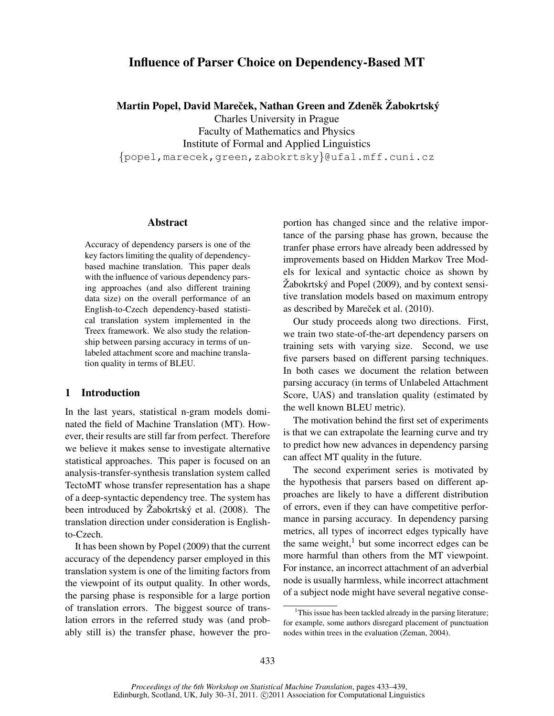# Influence of Parser Choice on Dependency-Based MT

Martin Popel, David Mareček, Nathan Green and Zdeněk Žabokrtský

Charles University in Prague

Faculty of Mathematics and Physics Institute of Formal and Applied Linguistics {popel,marecek,green,zabokrtsky}@ufal.mff.cuni.cz

### Abstract

Accuracy of dependency parsers is one of the key factors limiting the quality of dependencybased machine translation. This paper deals with the influence of various dependency parsing approaches (and also different training data size) on the overall performance of an English-to-Czech dependency-based statistical translation system implemented in the Treex framework. We also study the relationship between parsing accuracy in terms of unlabeled attachment score and machine translation quality in terms of BLEU.

# 1 Introduction

In the last years, statistical n-gram models dominated the field of Machine Translation (MT). However, their results are still far from perfect. Therefore we believe it makes sense to investigate alternative statistical approaches. This paper is focused on an analysis-transfer-synthesis translation system called TectoMT whose transfer representation has a shape of a deep-syntactic dependency tree. The system has been introduced by  $\check{Z}$ abokrtský et al. (2008). The translation direction under consideration is Englishto-Czech.

It has been shown by Popel (2009) that the current accuracy of the dependency parser employed in this translation system is one of the limiting factors from the viewpoint of its output quality. In other words, the parsing phase is responsible for a large portion of translation errors. The biggest source of translation errors in the referred study was (and probably still is) the transfer phase, however the proportion has changed since and the relative importance of the parsing phase has grown, because the tranfer phase errors have already been addressed by improvements based on Hidden Markov Tree Models for lexical and syntactic choice as shown by  $\check{Z}$ abokrtský and Popel (2009), and by context sensitive translation models based on maximum entropy as described by Mareček et al. (2010).

Our study proceeds along two directions. First, we train two state-of-the-art dependency parsers on training sets with varying size. Second, we use five parsers based on different parsing techniques. In both cases we document the relation between parsing accuracy (in terms of Unlabeled Attachment Score, UAS) and translation quality (estimated by the well known BLEU metric).

The motivation behind the first set of experiments is that we can extrapolate the learning curve and try to predict how new advances in dependency parsing can affect MT quality in the future.

The second experiment series is motivated by the hypothesis that parsers based on different approaches are likely to have a different distribution of errors, even if they can have competitive performance in parsing accuracy. In dependency parsing metrics, all types of incorrect edges typically have the same weight, $\frac{1}{x}$  but some incorrect edges can be more harmful than others from the MT viewpoint. For instance, an incorrect attachment of an adverbial node is usually harmless, while incorrect attachment of a subject node might have several negative conse-

<sup>&</sup>lt;sup>1</sup>This issue has been tackled already in the parsing literature; for example, some authors disregard placement of punctuation nodes within trees in the evaluation (Zeman, 2004).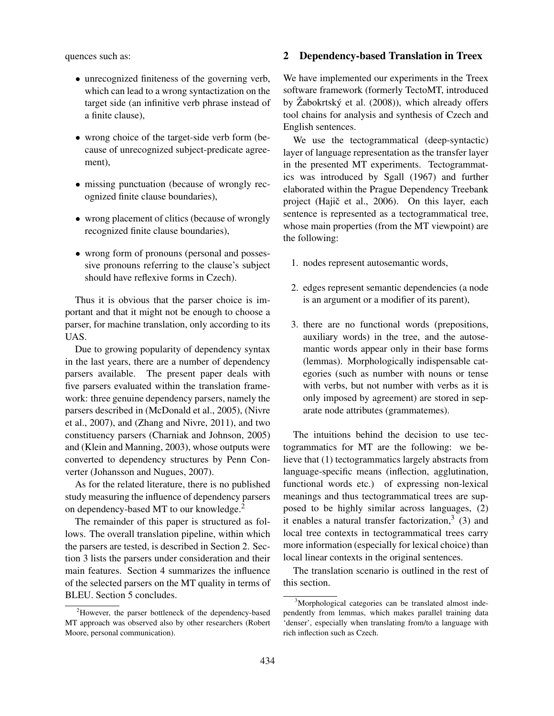quences such as:

- unrecognized finiteness of the governing verb, which can lead to a wrong syntactization on the target side (an infinitive verb phrase instead of a finite clause),
- wrong choice of the target-side verb form (because of unrecognized subject-predicate agreement),
- missing punctuation (because of wrongly recognized finite clause boundaries),
- wrong placement of clitics (because of wrongly recognized finite clause boundaries),
- wrong form of pronouns (personal and possessive pronouns referring to the clause's subject should have reflexive forms in Czech).

Thus it is obvious that the parser choice is important and that it might not be enough to choose a parser, for machine translation, only according to its UAS.

Due to growing popularity of dependency syntax in the last years, there are a number of dependency parsers available. The present paper deals with five parsers evaluated within the translation framework: three genuine dependency parsers, namely the parsers described in (McDonald et al., 2005), (Nivre et al., 2007), and (Zhang and Nivre, 2011), and two constituency parsers (Charniak and Johnson, 2005) and (Klein and Manning, 2003), whose outputs were converted to dependency structures by Penn Converter (Johansson and Nugues, 2007).

As for the related literature, there is no published study measuring the influence of dependency parsers on dependency-based MT to our knowledge.<sup>2</sup>

The remainder of this paper is structured as follows. The overall translation pipeline, within which the parsers are tested, is described in Section 2. Section 3 lists the parsers under consideration and their main features. Section 4 summarizes the influence of the selected parsers on the MT quality in terms of BLEU. Section 5 concludes.

## 2 Dependency-based Translation in Treex

We have implemented our experiments in the Treex software framework (formerly TectoMT, introduced by  $\dot{Z}$ abokrtský et al. (2008)), which already offers tool chains for analysis and synthesis of Czech and English sentences.

We use the tectogrammatical (deep-syntactic) layer of language representation as the transfer layer in the presented MT experiments. Tectogrammatics was introduced by Sgall (1967) and further elaborated within the Prague Dependency Treebank project (Hajič et al., 2006). On this layer, each sentence is represented as a tectogrammatical tree, whose main properties (from the MT viewpoint) are the following:

- 1. nodes represent autosemantic words,
- 2. edges represent semantic dependencies (a node is an argument or a modifier of its parent),
- 3. there are no functional words (prepositions, auxiliary words) in the tree, and the autosemantic words appear only in their base forms (lemmas). Morphologically indispensable categories (such as number with nouns or tense with verbs, but not number with verbs as it is only imposed by agreement) are stored in separate node attributes (grammatemes).

The intuitions behind the decision to use tectogrammatics for MT are the following: we believe that (1) tectogrammatics largely abstracts from language-specific means (inflection, agglutination, functional words etc.) of expressing non-lexical meanings and thus tectogrammatical trees are supposed to be highly similar across languages, (2) it enables a natural transfer factorization,  $3(3)$  and local tree contexts in tectogrammatical trees carry more information (especially for lexical choice) than local linear contexts in the original sentences.

The translation scenario is outlined in the rest of this section.

<sup>2</sup>However, the parser bottleneck of the dependency-based MT approach was observed also by other researchers (Robert Moore, personal communication).

<sup>3</sup>Morphological categories can be translated almost independently from lemmas, which makes parallel training data 'denser', especially when translating from/to a language with rich inflection such as Czech.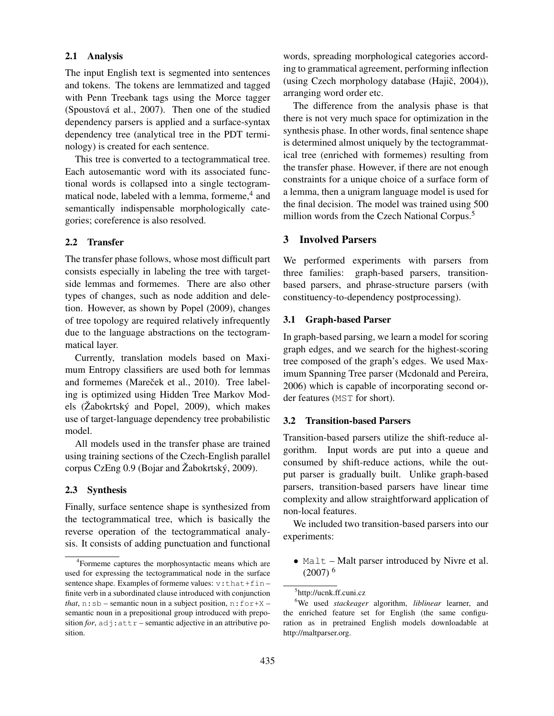#### 2.1 Analysis

The input English text is segmented into sentences and tokens. The tokens are lemmatized and tagged with Penn Treebank tags using the Morce tagger (Spoustová et al., 2007). Then one of the studied dependency parsers is applied and a surface-syntax dependency tree (analytical tree in the PDT terminology) is created for each sentence.

This tree is converted to a tectogrammatical tree. Each autosemantic word with its associated functional words is collapsed into a single tectogrammatical node, labeled with a lemma, formeme,<sup>4</sup> and semantically indispensable morphologically categories; coreference is also resolved.

#### 2.2 Transfer

The transfer phase follows, whose most difficult part consists especially in labeling the tree with targetside lemmas and formemes. There are also other types of changes, such as node addition and deletion. However, as shown by Popel (2009), changes of tree topology are required relatively infrequently due to the language abstractions on the tectogrammatical layer.

Currently, translation models based on Maximum Entropy classifiers are used both for lemmas and formemes (Mareček et al., 2010). Tree labeling is optimized using Hidden Tree Markov Models (Žabokrtský and Popel, 2009), which makes use of target-language dependency tree probabilistic model.

All models used in the transfer phase are trained using training sections of the Czech-English parallel corpus CzEng  $0.9$  (Bojar and Žabokrtský, 2009).

#### 2.3 Synthesis

Finally, surface sentence shape is synthesized from the tectogrammatical tree, which is basically the reverse operation of the tectogrammatical analysis. It consists of adding punctuation and functional words, spreading morphological categories according to grammatical agreement, performing inflection (using Czech morphology database  $(Hai, 2004)$ ), arranging word order etc.

The difference from the analysis phase is that there is not very much space for optimization in the synthesis phase. In other words, final sentence shape is determined almost uniquely by the tectogrammatical tree (enriched with formemes) resulting from the transfer phase. However, if there are not enough constraints for a unique choice of a surface form of a lemma, then a unigram language model is used for the final decision. The model was trained using 500 million words from the Czech National Corpus.<sup>5</sup>

## 3 Involved Parsers

We performed experiments with parsers from three families: graph-based parsers, transitionbased parsers, and phrase-structure parsers (with constituency-to-dependency postprocessing).

#### 3.1 Graph-based Parser

In graph-based parsing, we learn a model for scoring graph edges, and we search for the highest-scoring tree composed of the graph's edges. We used Maximum Spanning Tree parser (Mcdonald and Pereira, 2006) which is capable of incorporating second order features (MST for short).

### 3.2 Transition-based Parsers

Transition-based parsers utilize the shift-reduce algorithm. Input words are put into a queue and consumed by shift-reduce actions, while the output parser is gradually built. Unlike graph-based parsers, transition-based parsers have linear time complexity and allow straightforward application of non-local features.

We included two transition-based parsers into our experiments:

• Malt – Malt parser introduced by Nivre et al. (2007) <sup>6</sup>

<sup>4</sup> Formeme captures the morphosyntactic means which are used for expressing the tectogrammatical node in the surface sentence shape. Examples of formeme values:  $v:$  that+fin – finite verb in a subordinated clause introduced with conjunction *that*,  $n:$  sb – semantic noun in a subject position,  $n:$  for +X – semantic noun in a prepositional group introduced with preposition *for*,  $ad$ *j*: $attr$  – semantic adjective in an attributive position.

<sup>5</sup> http://ucnk.ff.cuni.cz

<sup>6</sup>We used *stackeager* algorithm, *liblinear* learner, and the enriched feature set for English (the same configuration as in pretrained English models downloadable at http://maltparser.org.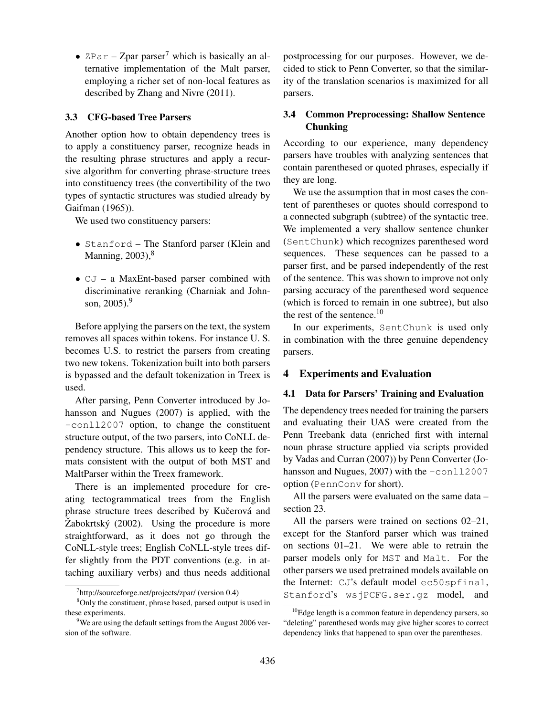•  $ZPar - Zpar$  parser<sup>7</sup> which is basically an alternative implementation of the Malt parser, employing a richer set of non-local features as described by Zhang and Nivre (2011).

### 3.3 CFG-based Tree Parsers

Another option how to obtain dependency trees is to apply a constituency parser, recognize heads in the resulting phrase structures and apply a recursive algorithm for converting phrase-structure trees into constituency trees (the convertibility of the two types of syntactic structures was studied already by Gaifman (1965)).

We used two constituency parsers:

- Stanford The Stanford parser (Klein and Manning,  $2003$ ), $8$
- CJ a MaxEnt-based parser combined with discriminative reranking (Charniak and Johnson,  $2005$ .<sup>9</sup>

Before applying the parsers on the text, the system removes all spaces within tokens. For instance U. S. becomes U.S. to restrict the parsers from creating two new tokens. Tokenization built into both parsers is bypassed and the default tokenization in Treex is used.

After parsing, Penn Converter introduced by Johansson and Nugues (2007) is applied, with the -conll2007 option, to change the constituent structure output, of the two parsers, into CoNLL dependency structure. This allows us to keep the formats consistent with the output of both MST and MaltParser within the Treex framework.

There is an implemented procedure for creating tectogrammatical trees from the English phrase structure trees described by Kučerová and  $\dot{Z}$ abokrtský (2002). Using the procedure is more straightforward, as it does not go through the CoNLL-style trees; English CoNLL-style trees differ slightly from the PDT conventions (e.g. in attaching auxiliary verbs) and thus needs additional

postprocessing for our purposes. However, we decided to stick to Penn Converter, so that the similarity of the translation scenarios is maximized for all parsers.

# 3.4 Common Preprocessing: Shallow Sentence Chunking

According to our experience, many dependency parsers have troubles with analyzing sentences that contain parenthesed or quoted phrases, especially if they are long.

We use the assumption that in most cases the content of parentheses or quotes should correspond to a connected subgraph (subtree) of the syntactic tree. We implemented a very shallow sentence chunker (SentChunk) which recognizes parenthesed word sequences. These sequences can be passed to a parser first, and be parsed independently of the rest of the sentence. This was shown to improve not only parsing accuracy of the parenthesed word sequence (which is forced to remain in one subtree), but also the rest of the sentence. $10$ 

In our experiments, SentChunk is used only in combination with the three genuine dependency parsers.

#### 4 Experiments and Evaluation

### 4.1 Data for Parsers' Training and Evaluation

The dependency trees needed for training the parsers and evaluating their UAS were created from the Penn Treebank data (enriched first with internal noun phrase structure applied via scripts provided by Vadas and Curran (2007)) by Penn Converter (Johansson and Nugues, 2007) with the -conll2007 option (PennConv for short).

All the parsers were evaluated on the same data – section 23.

All the parsers were trained on sections 02–21, except for the Stanford parser which was trained on sections 01–21. We were able to retrain the parser models only for MST and Malt. For the other parsers we used pretrained models available on the Internet: CJ's default model ec50spfinal, Stanford's wsjPCFG.ser.gz model, and

<sup>7</sup> http://sourceforge.net/projects/zpar/ (version 0.4)

<sup>&</sup>lt;sup>8</sup>Only the constituent, phrase based, parsed output is used in these experiments.

<sup>&</sup>lt;sup>9</sup>We are using the default settings from the August 2006 version of the software.

<sup>&</sup>lt;sup>10</sup>Edge length is a common feature in dependency parsers, so "deleting" parenthesed words may give higher scores to correct dependency links that happened to span over the parentheses.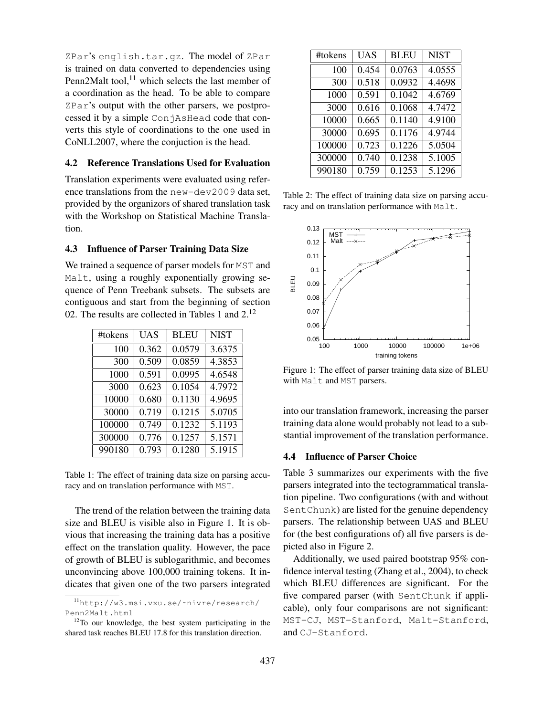ZPar's english.tar.gz. The model of ZPar is trained on data converted to dependencies using Penn2Malt tool, $^{11}$  which selects the last member of a coordination as the head. To be able to compare ZPar's output with the other parsers, we postprocessed it by a simple ConjAsHead code that converts this style of coordinations to the one used in CoNLL2007, where the conjuction is the head.

#### 4.2 Reference Translations Used for Evaluation

Translation experiments were evaluated using reference translations from the new-dev2009 data set, provided by the organizors of shared translation task with the Workshop on Statistical Machine Translation.

#### 4.3 Influence of Parser Training Data Size

We trained a sequence of parser models for MST and Malt, using a roughly exponentially growing sequence of Penn Treebank subsets. The subsets are contiguous and start from the beginning of section 02. The results are collected in Tables 1 and 2.<sup>12</sup>

| #tokens | UAS   | <b>BLEU</b> | <b>NIST</b> |
|---------|-------|-------------|-------------|
| 100     | 0.362 | 0.0579      | 3.6375      |
| 300     | 0.509 | 0.0859      | 4.3853      |
| 1000    | 0.591 | 0.0995      | 4.6548      |
| 3000    | 0.623 | 0.1054      | 4.7972      |
| 10000   | 0.680 | 0.1130      | 4.9695      |
| 30000   | 0.719 | 0.1215      | 5.0705      |
| 100000  | 0.749 | 0.1232      | 5.1193      |
| 300000  | 0.776 | 0.1257      | 5.1571      |
| 990180  | 0.793 | 0.1280      | 5.1915      |

Table 1: The effect of training data size on parsing accuracy and on translation performance with MST.

The trend of the relation between the training data size and BLEU is visible also in Figure 1. It is obvious that increasing the training data has a positive effect on the translation quality. However, the pace of growth of BLEU is sublogarithmic, and becomes unconvincing above 100,000 training tokens. It indicates that given one of the two parsers integrated

| #tokens | <b>UAS</b> | <b>BLEU</b> | <b>NIST</b> |
|---------|------------|-------------|-------------|
| 100     | 0.454      | 0.0763      | 4.0555      |
| 300     | 0.518      | 0.0932      | 4.4698      |
| 1000    | 0.591      | 0.1042      | 4.6769      |
| 3000    | 0.616      | 0.1068      | 4.7472      |
| 10000   | 0.665      | 0.1140      | 4.9100      |
| 30000   | 0.695      | 0.1176      | 4.9744      |
| 100000  | 0.723      | 0.1226      | 5.0504      |
| 300000  | 0.740      | 0.1238      | 5.1005      |
| 990180  | 0.759      | 0.1253      | 5.1296      |

Table 2: The effect of training data size on parsing accuracy and on translation performance with Malt.



Figure 1: The effect of parser training data size of BLEU with Malt and MST parsers.

into our translation framework, increasing the parser training data alone would probably not lead to a substantial improvement of the translation performance.

### 4.4 Influence of Parser Choice

Table 3 summarizes our experiments with the five parsers integrated into the tectogrammatical translation pipeline. Two configurations (with and without SentChunk) are listed for the genuine dependency parsers. The relationship between UAS and BLEU for (the best configurations of) all five parsers is depicted also in Figure 2.

Additionally, we used paired bootstrap 95% confidence interval testing (Zhang et al., 2004), to check which BLEU differences are significant. For the five compared parser (with SentChunk if applicable), only four comparisons are not significant: MST-CJ, MST-Stanford, Malt-Stanford, and CJ-Stanford.

<sup>11</sup>http://w3.msi.vxu.se/˜nivre/research/ Penn2Malt.html

 $12$ To our knowledge, the best system participating in the shared task reaches BLEU 17.8 for this translation direction.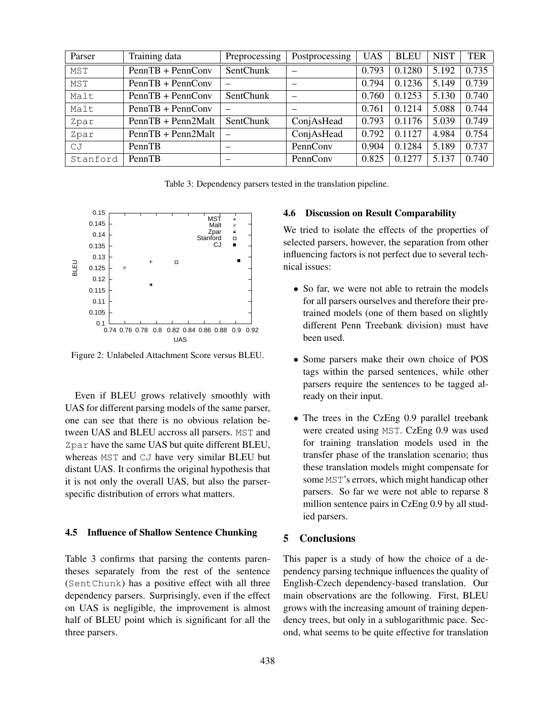| Parser   | Training data        | Preprocessing | Postprocessing | <b>UAS</b> | <b>BLEU</b> | <b>NIST</b> | <b>TER</b> |
|----------|----------------------|---------------|----------------|------------|-------------|-------------|------------|
| MST      | $PennTB + PennConv$  | SentChunk     |                | 0.793      | 0.1280      | 5.192       | 0.735      |
| MST      | $PennTB + PennConv$  |               |                | 0.794      | 0.1236      | 5.149       | 0.739      |
| Malt     | $PennTB + PennConv$  | SentChunk     |                | 0.760      | 0.1253      | 5.130       | 0.740      |
| Malt     | $PennTB + PennConv$  |               |                | 0.761      | 0.1214      | 5.088       | 0.744      |
| Zpar     | PennTB + Penn2Malt   | SentChunk     | ConjAsHead     | 0.793      | 0.1176      | 5.039       | 0.749      |
| Zpar     | $PennTB + Penn2Malt$ |               | ConjAsHead     | 0.792      | 0.1127      | 4.984       | 0.754      |
| CJ       | PennTB               |               | PennConv       | 0.904      | 0.1284      | 5.189       | 0.737      |
| Stanford | PennTB               |               | PennConv       | 0.825      | 0.1277      | 5.137       | 0.740      |

Table 3: Dependency parsers tested in the translation pipeline.



Figure 2: Unlabeled Attachment Score versus BLEU.

Even if BLEU grows relatively smoothly with UAS for different parsing models of the same parser, one can see that there is no obvious relation between UAS and BLEU accross all parsers. MST and Zpar have the same UAS but quite different BLEU, whereas MST and CJ have very similar BLEU but distant UAS. It confirms the original hypothesis that it is not only the overall UAS, but also the parserspecific distribution of errors what matters.

## 4.5 Influence of Shallow Sentence Chunking

Table 3 confirms that parsing the contents parentheses separately from the rest of the sentence (SentChunk) has a positive effect with all three dependency parsers. Surprisingly, even if the effect on UAS is negligible, the improvement is almost half of BLEU point which is significant for all the three parsers.

#### 4.6 Discussion on Result Comparability

We tried to isolate the effects of the properties of selected parsers, however, the separation from other influencing factors is not perfect due to several technical issues:

- So far, we were not able to retrain the models for all parsers ourselves and therefore their pretrained models (one of them based on slightly different Penn Treebank division) must have been used.
- Some parsers make their own choice of POS tags within the parsed sentences, while other parsers require the sentences to be tagged already on their input.
- The trees in the CzEng 0.9 parallel treebank were created using MST. CzEng 0.9 was used for training translation models used in the transfer phase of the translation scenario; thus these translation models might compensate for some MST's errors, which might handicap other parsers. So far we were not able to reparse 8 million sentence pairs in CzEng 0.9 by all studied parsers.

# 5 Conclusions

This paper is a study of how the choice of a dependency parsing technique influences the quality of English-Czech dependency-based translation. Our main observations are the following. First, BLEU grows with the increasing amount of training dependency trees, but only in a sublogarithmic pace. Second, what seems to be quite effective for translation